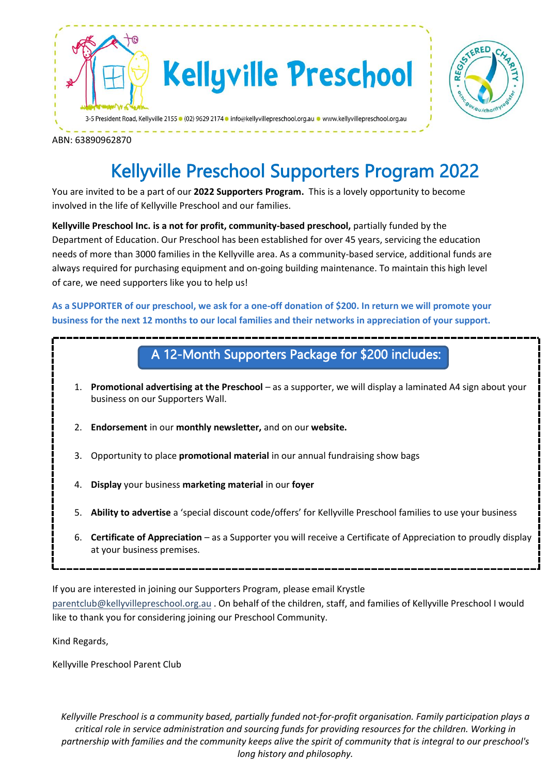



ABN: 63890962870

# Kellyville Preschool Supporters Program 2022

You are invited to be a part of our **2022 Supporters Program.** This is a lovely opportunity to become involved in the life of Kellyville Preschool and our families.

**Kellyville Preschool Inc. is a not for profit, community-based preschool,** partially funded by the Department of Education. Our Preschool has been established for over 45 years, servicing the education needs of more than 3000 families in the Kellyville area. As a community-based service, additional funds are always required for purchasing equipment and on-going building maintenance. To maintain this high level of care, we need supporters like you to help us!

**As a SUPPORTER of our preschool, we ask for a one-off donation of \$200. In return we will promote your business for the next 12 months to our local families and their networks in appreciation of your support.**

#### A 12-Month Supporters Package for \$200 includes:

- 1. **Promotional advertising at the Preschool** as a supporter, we will display a laminated A4 sign about your business on our Supporters Wall.
- 2. **Endorsement** in our **monthly newsletter,** and on our **website.**
- 3. Opportunity to place **promotional material** in our annual fundraising show bags
- 4. **Display** your business **marketing material** in our **foyer**
- 5. **Ability to advertise** a 'special discount code/offers' for Kellyville Preschool families to use your business
- 6. **Certificate of Appreciation** as a Supporter you will receive a Certificate of Appreciation to proudly display at your business premises.

If you are interested in joining our Supporters Program, please email Krystle [parentclub@kellyvillepreschool.org.au](mailto:parentclub@kellyvillepreschool.org.au) . On behalf of the children, staff, and families of Kellyville Preschool I would like to thank you for considering joining our Preschool Community.

Kind Regards,

Kellyville Preschool Parent Club

*Kellyville Preschool is a community based, partially funded not-for-profit organisation. Family participation plays a critical role in service administration and sourcing funds for providing resources for the children. Working in partnership with families and the community keeps alive the spirit of community that is integral to our preschool's long history and philosophy.*